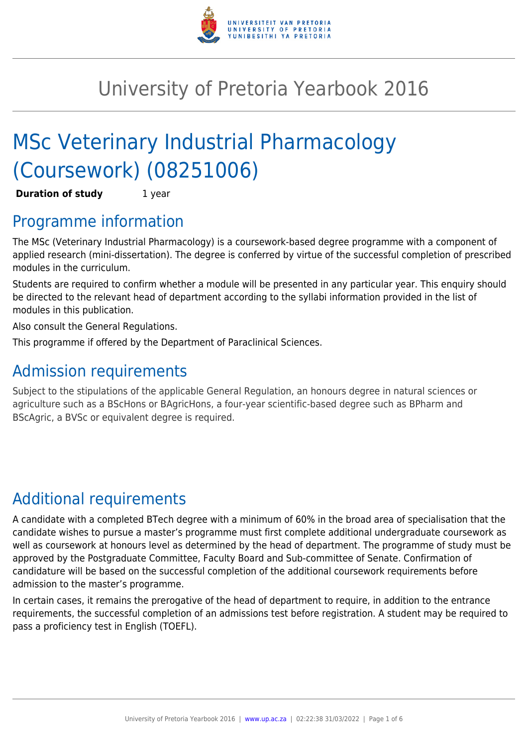

# University of Pretoria Yearbook 2016

# MSc Veterinary Industrial Pharmacology (Coursework) (08251006)

**Duration of study** 1 year

### Programme information

The MSc (Veterinary Industrial Pharmacology) is a coursework-based degree programme with a component of applied research (mini-dissertation). The degree is conferred by virtue of the successful completion of prescribed modules in the curriculum.

Students are required to confirm whether a module will be presented in any particular year. This enquiry should be directed to the relevant head of department according to the syllabi information provided in the list of modules in this publication.

Also consult the General Regulations.

This programme if offered by the Department of Paraclinical Sciences.

### Admission requirements

Subject to the stipulations of the applicable General Regulation, an honours degree in natural sciences or agriculture such as a BScHons or BAgricHons, a four-year scientific-based degree such as BPharm and BScAgric, a BVSc or equivalent degree is required.

## Additional requirements

A candidate with a completed BTech degree with a minimum of 60% in the broad area of specialisation that the candidate wishes to pursue a master's programme must first complete additional undergraduate coursework as well as coursework at honours level as determined by the head of department. The programme of study must be approved by the Postgraduate Committee, Faculty Board and Sub-committee of Senate. Confirmation of candidature will be based on the successful completion of the additional coursework requirements before admission to the master's programme.

In certain cases, it remains the prerogative of the head of department to require, in addition to the entrance requirements, the successful completion of an admissions test before registration. A student may be required to pass a proficiency test in English (TOEFL).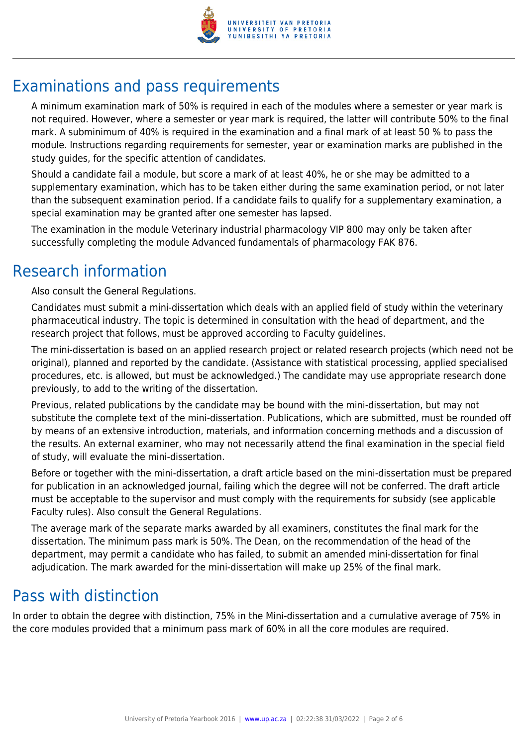

## Examinations and pass requirements

A minimum examination mark of 50% is required in each of the modules where a semester or year mark is not required. However, where a semester or year mark is required, the latter will contribute 50% to the final mark. A subminimum of 40% is required in the examination and a final mark of at least 50 % to pass the module. Instructions regarding requirements for semester, year or examination marks are published in the study guides, for the specific attention of candidates.

Should a candidate fail a module, but score a mark of at least 40%, he or she may be admitted to a supplementary examination, which has to be taken either during the same examination period, or not later than the subsequent examination period. If a candidate fails to qualify for a supplementary examination, a special examination may be granted after one semester has lapsed.

The examination in the module Veterinary industrial pharmacology VIP 800 may only be taken after successfully completing the module Advanced fundamentals of pharmacology FAK 876.

### Research information

Also consult the General Regulations.

Candidates must submit a mini-dissertation which deals with an applied field of study within the veterinary pharmaceutical industry. The topic is determined in consultation with the head of department, and the research project that follows, must be approved according to Faculty guidelines.

The mini-dissertation is based on an applied research project or related research projects (which need not be original), planned and reported by the candidate. (Assistance with statistical processing, applied specialised procedures, etc. is allowed, but must be acknowledged.) The candidate may use appropriate research done previously, to add to the writing of the dissertation.

Previous, related publications by the candidate may be bound with the mini-dissertation, but may not substitute the complete text of the mini-dissertation. Publications, which are submitted, must be rounded off by means of an extensive introduction, materials, and information concerning methods and a discussion of the results. An external examiner, who may not necessarily attend the final examination in the special field of study, will evaluate the mini-dissertation.

Before or together with the mini-dissertation, a draft article based on the mini-dissertation must be prepared for publication in an acknowledged journal, failing which the degree will not be conferred. The draft article must be acceptable to the supervisor and must comply with the requirements for subsidy (see applicable Faculty rules). Also consult the General Regulations.

The average mark of the separate marks awarded by all examiners, constitutes the final mark for the dissertation. The minimum pass mark is 50%. The Dean, on the recommendation of the head of the department, may permit a candidate who has failed, to submit an amended mini-dissertation for final adjudication. The mark awarded for the mini-dissertation will make up 25% of the final mark.

### Pass with distinction

In order to obtain the degree with distinction, 75% in the Mini-dissertation and a cumulative average of 75% in the core modules provided that a minimum pass mark of 60% in all the core modules are required.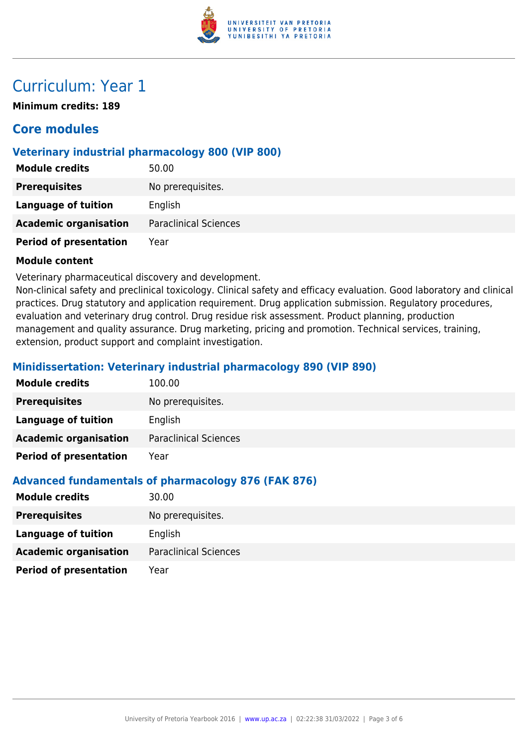

### Curriculum: Year 1

**Minimum credits: 189**

### **Core modules**

#### **Veterinary industrial pharmacology 800 (VIP 800)**

| <b>Module credits</b>         | 50.00                        |
|-------------------------------|------------------------------|
| <b>Prerequisites</b>          | No prerequisites.            |
| <b>Language of tuition</b>    | English                      |
| <b>Academic organisation</b>  | <b>Paraclinical Sciences</b> |
| <b>Period of presentation</b> | Year                         |

#### **Module content**

Veterinary pharmaceutical discovery and development.

Non-clinical safety and preclinical toxicology. Clinical safety and efficacy evaluation. Good laboratory and clinical practices. Drug statutory and application requirement. Drug application submission. Regulatory procedures, evaluation and veterinary drug control. Drug residue risk assessment. Product planning, production management and quality assurance. Drug marketing, pricing and promotion. Technical services, training, extension, product support and complaint investigation.

#### **Minidissertation: Veterinary industrial pharmacology 890 (VIP 890)**

| <b>Module credits</b>         | 100.00                       |
|-------------------------------|------------------------------|
| <b>Prerequisites</b>          | No prerequisites.            |
| <b>Language of tuition</b>    | English                      |
| <b>Academic organisation</b>  | <b>Paraclinical Sciences</b> |
| <b>Period of presentation</b> | Year                         |

#### **Advanced fundamentals of pharmacology 876 (FAK 876)**

| <b>Module credits</b>         | 30.00                        |
|-------------------------------|------------------------------|
| <b>Prerequisites</b>          | No prerequisites.            |
| Language of tuition           | English                      |
| <b>Academic organisation</b>  | <b>Paraclinical Sciences</b> |
| <b>Period of presentation</b> | Year                         |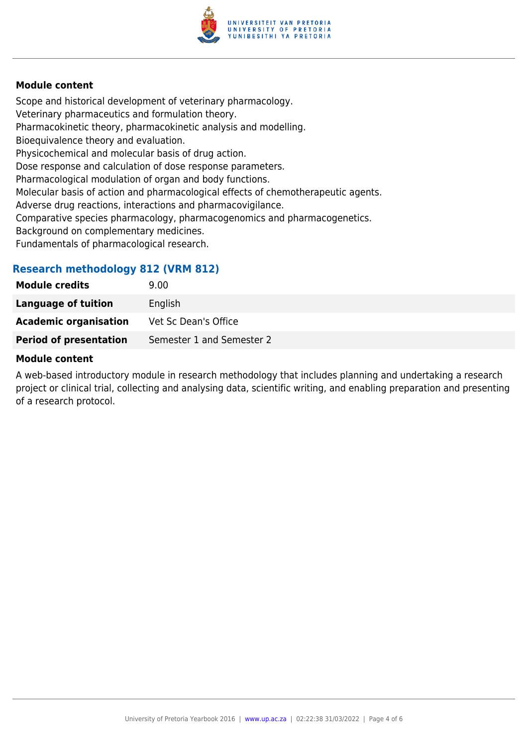

#### **Module content**

Scope and historical development of veterinary pharmacology. Veterinary pharmaceutics and formulation theory. Pharmacokinetic theory, pharmacokinetic analysis and modelling. Bioequivalence theory and evaluation. Physicochemical and molecular basis of drug action. Dose response and calculation of dose response parameters. Pharmacological modulation of organ and body functions. Molecular basis of action and pharmacological effects of chemotherapeutic agents. Adverse drug reactions, interactions and pharmacovigilance. Comparative species pharmacology, pharmacogenomics and pharmacogenetics. Background on complementary medicines. Fundamentals of pharmacological research.

#### **Research methodology 812 (VRM 812)**

| <b>Module credits</b>         | 9.00                      |
|-------------------------------|---------------------------|
| Language of tuition           | English                   |
| <b>Academic organisation</b>  | Vet Sc Dean's Office      |
| <b>Period of presentation</b> | Semester 1 and Semester 2 |
|                               |                           |

#### **Module content**

A web-based introductory module in research methodology that includes planning and undertaking a research project or clinical trial, collecting and analysing data, scientific writing, and enabling preparation and presenting of a research protocol.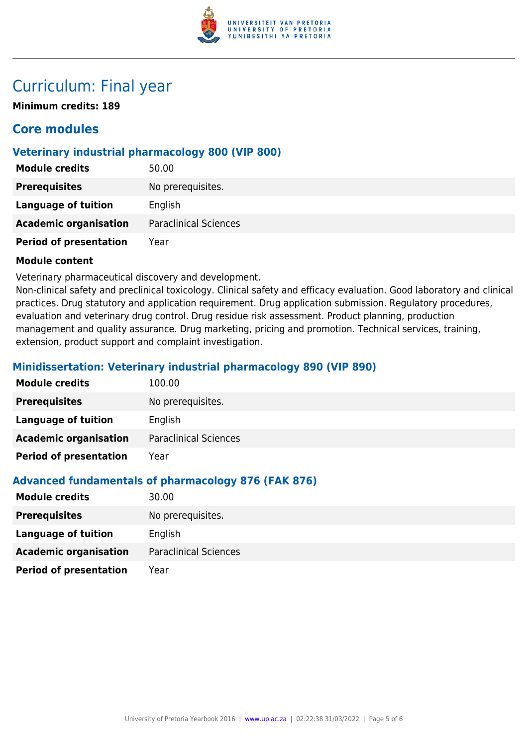

### Curriculum: Final year

**Minimum credits: 189**

### **Core modules**

#### **Veterinary industrial pharmacology 800 (VIP 800)**

| <b>Module credits</b>         | 50.00                        |
|-------------------------------|------------------------------|
| <b>Prerequisites</b>          | No prerequisites.            |
| <b>Language of tuition</b>    | English                      |
| <b>Academic organisation</b>  | <b>Paraclinical Sciences</b> |
| <b>Period of presentation</b> | Year                         |

#### **Module content**

Veterinary pharmaceutical discovery and development.

Non-clinical safety and preclinical toxicology. Clinical safety and efficacy evaluation. Good laboratory and clinical practices. Drug statutory and application requirement. Drug application submission. Regulatory procedures, evaluation and veterinary drug control. Drug residue risk assessment. Product planning, production management and quality assurance. Drug marketing, pricing and promotion. Technical services, training, extension, product support and complaint investigation.

#### **Minidissertation: Veterinary industrial pharmacology 890 (VIP 890)**

| <b>Module credits</b>         | 100.00                       |
|-------------------------------|------------------------------|
| <b>Prerequisites</b>          | No prerequisites.            |
| Language of tuition           | English                      |
| <b>Academic organisation</b>  | <b>Paraclinical Sciences</b> |
| <b>Period of presentation</b> | Year                         |

#### **Advanced fundamentals of pharmacology 876 (FAK 876)**

| <b>Module credits</b>         | 30.00                        |
|-------------------------------|------------------------------|
| <b>Prerequisites</b>          | No prerequisites.            |
| Language of tuition           | English                      |
| <b>Academic organisation</b>  | <b>Paraclinical Sciences</b> |
| <b>Period of presentation</b> | Year                         |